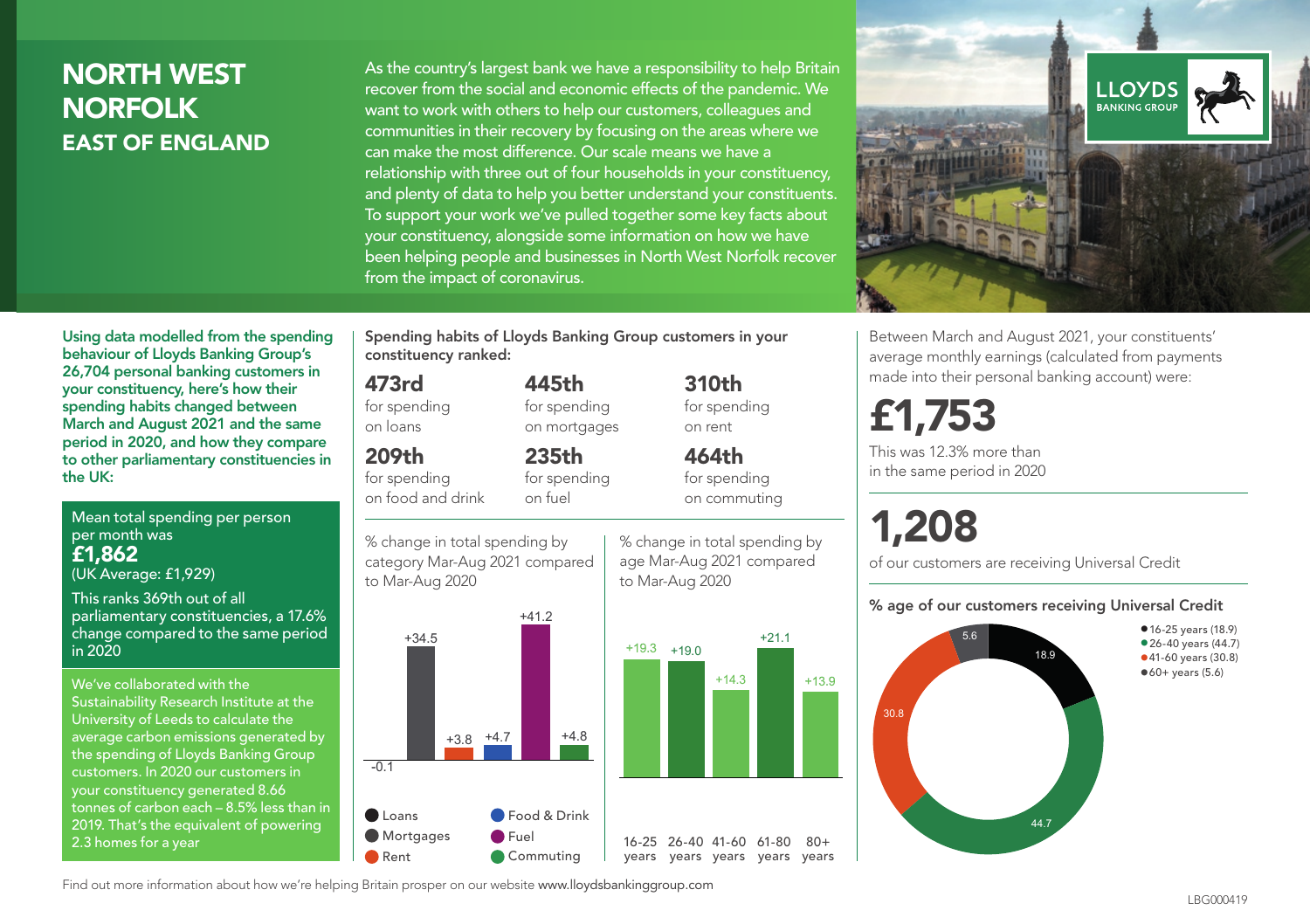## NORTH WEST NORFOLK EAST OF ENGLAND

As the country's largest bank we have a responsibility to help Britain recover from the social and economic effects of the pandemic. We want to work with others to help our customers, colleagues and communities in their recovery by focusing on the areas where we can make the most difference. Our scale means we have a relationship with three out of four households in your constituency, and plenty of data to help you better understand your constituents. To support your work we've pulled together some key facts about your constituency, alongside some information on how we have been helping people and businesses in North West Norfolk recover from the impact of coronavirus.



Between March and August 2021, your constituents' average monthly earnings (calculated from payments made into their personal banking account) were:

## £1,753

This was 12.3% more than in the same period in 2020

# 1,208

of our customers are receiving Universal Credit

#### % age of our customers receiving Universal Credit



Using data modelled from the spending behaviour of Lloyds Banking Group's 26,704 personal banking customers in your constituency, here's how their spending habits changed between March and August 2021 and the same period in 2020, and how they compare to other parliamentary constituencies in the UK:

Mean total spending per person per month was £1,862 (UK Average: £1,929)

This ranks 369th out of all parliamentary constituencies, a 17.6% change compared to the same period in 2020

We've collaborated with the Sustainability Research Institute at the University of Leeds to calculate the average carbon emissions generated by the spending of Lloyds Banking Group customers. In 2020 our customers in your constituency generated 8.66 tonnes of carbon each – 8.5% less than in 2019. That's the equivalent of powering 2.3 homes for a year

Spending habits of Lloyds Banking Group customers in your constituency ranked:

> 445th for spending on mortgages

235th

### 473rd

for spending on loans

## 209th

for spending on food and drink

for spending on fuel

% change in total spending by category Mar-Aug 2021 compared to Mar-Aug 2020



% change in total spending by age Mar-Aug 2021 compared to Mar-Aug 2020

for spending on rent 464th for spending on commuting

 $+21.1$ 

 $+13.9$ 

 $80 +$ 

310th

Find out more information about how we're helping Britain prosper on our website www.lloydsbankinggroup.com